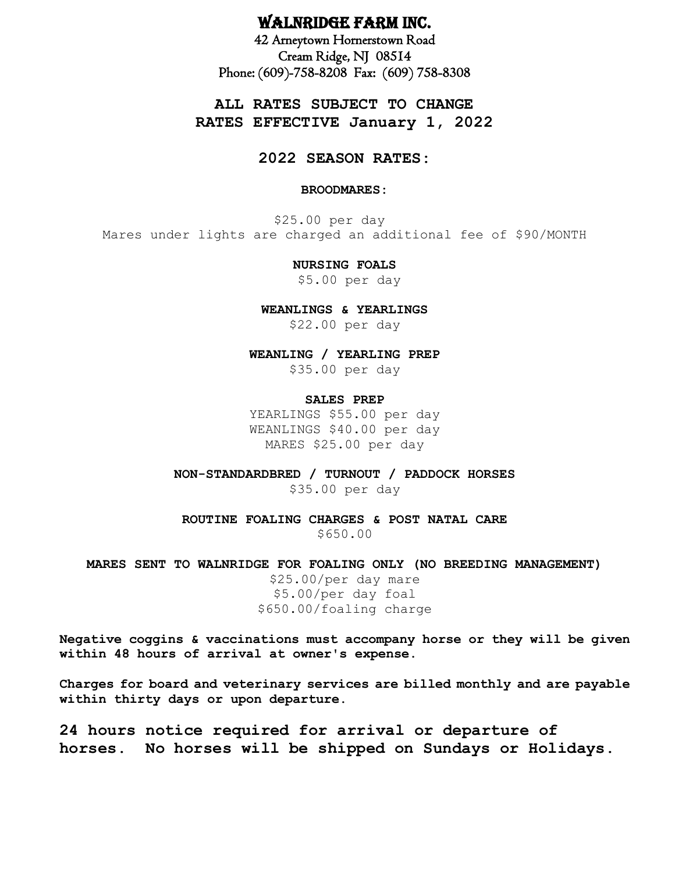## WALNRIDGE FARM INC.

42 Arneytown Hornerstown Road Cream Ridge, NJ 08514 Phone: (609)-758-8208 Fax: (609) 758-8308

**ALL RATES SUBJECT TO CHANGE RATES EFFECTIVE January 1, 2022**

### **2022 SEASON RATES:**

#### **BROODMARES:**

 \$25.00 per day Mares under lights are charged an additional fee of \$90/MONTH

### **NURSING FOALS**

\$5.00 per day

**WEANLINGS & YEARLINGS**

\$22.00 per day

**WEANLING / YEARLING PREP**

\$35.00 per day

#### **SALES PREP**

YEARLINGS \$55.00 per day WEANLINGS \$40.00 per day MARES \$25.00 per day

**NON-STANDARDBRED / TURNOUT / PADDOCK HORSES** \$35.00 per day

**ROUTINE FOALING CHARGES & POST NATAL CARE** \$650.00

### **MARES SENT TO WALNRIDGE FOR FOALING ONLY (NO BREEDING MANAGEMENT)**

\$25.00/per day mare \$5.00/per day foal \$650.00/foaling charge

**Negative coggins & vaccinations must accompany horse or they will be given within 48 hours of arrival at owner's expense.**

**Charges for board and veterinary services are billed monthly and are payable within thirty days or upon departure.**

**24 hours notice required for arrival or departure of horses. No horses will be shipped on Sundays or Holidays.**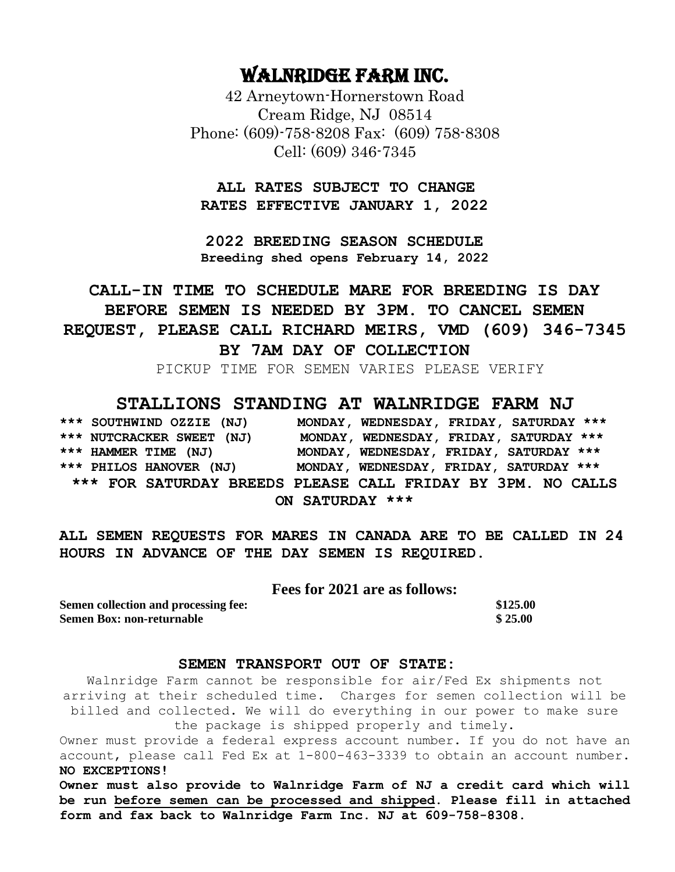# WALNRIDGE FARM INC.

42 Arneytown-Hornerstown Road Cream Ridge, NJ 08514 Phone: (609)-758-8208 Fax: (609) 758-8308 Cell: (609) 346-7345

 **ALL RATES SUBJECT TO CHANGE RATES EFFECTIVE JANUARY 1, 2022**

**2022 BREEDING SEASON SCHEDULE Breeding shed opens February 14, 2022**

## **CALL-IN TIME TO SCHEDULE MARE FOR BREEDING IS DAY BEFORE SEMEN IS NEEDED BY 3PM. TO CANCEL SEMEN REQUEST, PLEASE CALL RICHARD MEIRS, VMD (609) 346-7345 BY 7AM DAY OF COLLECTION**

PICKUP TIME FOR SEMEN VARIES PLEASE VERIFY

## **STALLIONS STANDING AT WALNRIDGE FARM NJ**

**\*\*\* SOUTHWIND OZZIE (NJ) MONDAY, WEDNESDAY, FRIDAY, SATURDAY \*\*\* \*\*\* NUTCRACKER SWEET (NJ) MONDAY, WEDNESDAY, FRIDAY, SATURDAY \*\*\* \*\*\* HAMMER TIME (NJ) MONDAY, WEDNESDAY, FRIDAY, SATURDAY \*\*\* \*\*\* PHILOS HANOVER (NJ) MONDAY, WEDNESDAY, FRIDAY, SATURDAY \*\*\* \*\*\* FOR SATURDAY BREEDS PLEASE CALL FRIDAY BY 3PM. NO CALLS ON SATURDAY \*\*\***

**ALL SEMEN REQUESTS FOR MARES IN CANADA ARE TO BE CALLED IN 24 HOURS IN ADVANCE OF THE DAY SEMEN IS REQUIRED.** 

**Fees for 2021 are as follows:**

**Semen collection and processing fee: \$125.00 Semen Box: non-returnable \$ 25.00**

### **SEMEN TRANSPORT OUT OF STATE:**

Walnridge Farm cannot be responsible for air/Fed Ex shipments not arriving at their scheduled time. Charges for semen collection will be billed and collected. We will do everything in our power to make sure the package is shipped properly and timely.

Owner must provide a federal express account number. If you do not have an account, please call Fed Ex at 1-800-463-3339 to obtain an account number. **NO EXCEPTIONS!**

**Owner must also provide to Walnridge Farm of NJ a credit card which will be run before semen can be processed and shipped. Please fill in attached form and fax back to Walnridge Farm Inc. NJ at 609-758-8308.**